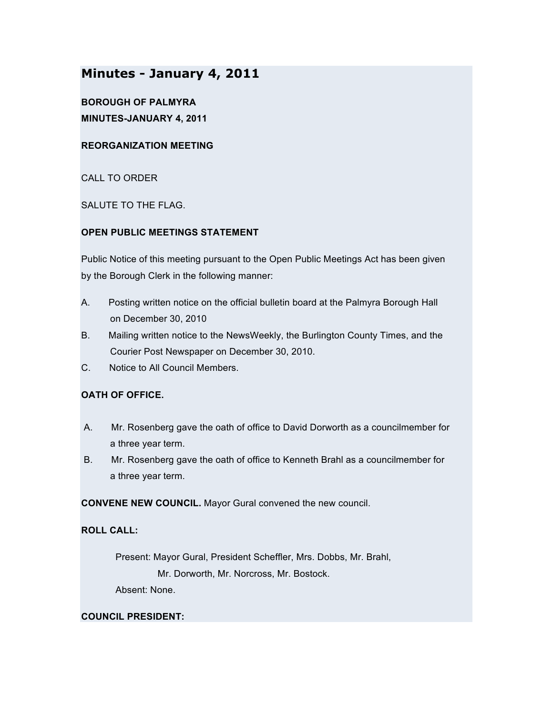# **Minutes - January 4, 2011**

**BOROUGH OF PALMYRA MINUTES-JANUARY 4, 2011**

# **REORGANIZATION MEETING**

CALL TO ORDER

SALUTE TO THE FLAG.

### **OPEN PUBLIC MEETINGS STATEMENT**

Public Notice of this meeting pursuant to the Open Public Meetings Act has been given by the Borough Clerk in the following manner:

- A. Posting written notice on the official bulletin board at the Palmyra Borough Hall on December 30, 2010
- B. Mailing written notice to the NewsWeekly, the Burlington County Times, and the Courier Post Newspaper on December 30, 2010.
- C. Notice to All Council Members.

# **OATH OF OFFICE.**

- A. Mr. Rosenberg gave the oath of office to David Dorworth as a councilmember for a three year term.
- B. Mr. Rosenberg gave the oath of office to Kenneth Brahl as a councilmember for a three year term.

**CONVENE NEW COUNCIL.** Mayor Gural convened the new council.

### **ROLL CALL:**

Present: Mayor Gural, President Scheffler, Mrs. Dobbs, Mr. Brahl, Mr. Dorworth, Mr. Norcross, Mr. Bostock. Absent: None.

### **COUNCIL PRESIDENT:**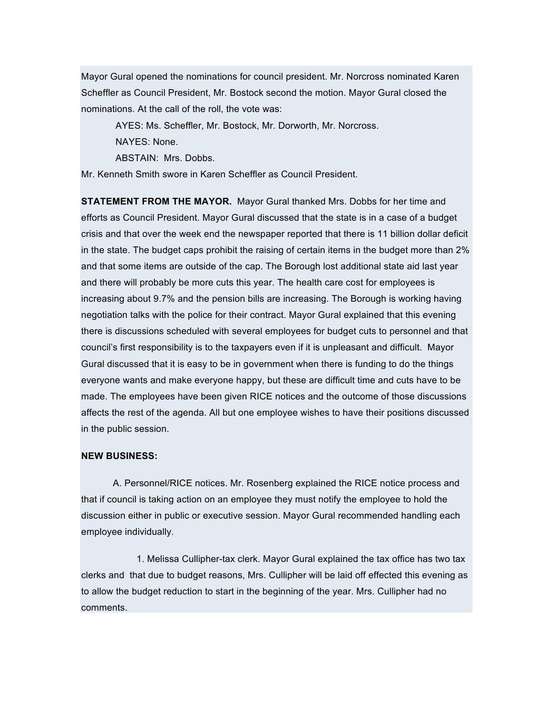Mayor Gural opened the nominations for council president. Mr. Norcross nominated Karen Scheffler as Council President, Mr. Bostock second the motion. Mayor Gural closed the nominations. At the call of the roll, the vote was:

AYES: Ms. Scheffler, Mr. Bostock, Mr. Dorworth, Mr. Norcross.

NAYES: None.

ABSTAIN: Mrs. Dobbs.

Mr. Kenneth Smith swore in Karen Scheffler as Council President.

**STATEMENT FROM THE MAYOR.** Mayor Gural thanked Mrs. Dobbs for her time and efforts as Council President. Mayor Gural discussed that the state is in a case of a budget crisis and that over the week end the newspaper reported that there is 11 billion dollar deficit in the state. The budget caps prohibit the raising of certain items in the budget more than 2% and that some items are outside of the cap. The Borough lost additional state aid last year and there will probably be more cuts this year. The health care cost for employees is increasing about 9.7% and the pension bills are increasing. The Borough is working having negotiation talks with the police for their contract. Mayor Gural explained that this evening there is discussions scheduled with several employees for budget cuts to personnel and that council's first responsibility is to the taxpayers even if it is unpleasant and difficult. Mayor Gural discussed that it is easy to be in government when there is funding to do the things everyone wants and make everyone happy, but these are difficult time and cuts have to be made. The employees have been given RICE notices and the outcome of those discussions affects the rest of the agenda. All but one employee wishes to have their positions discussed in the public session.

#### **NEW BUSINESS:**

A. Personnel/RICE notices. Mr. Rosenberg explained the RICE notice process and that if council is taking action on an employee they must notify the employee to hold the discussion either in public or executive session. Mayor Gural recommended handling each employee individually.

1. Melissa Cullipher-tax clerk. Mayor Gural explained the tax office has two tax clerks and that due to budget reasons, Mrs. Cullipher will be laid off effected this evening as to allow the budget reduction to start in the beginning of the year. Mrs. Cullipher had no comments.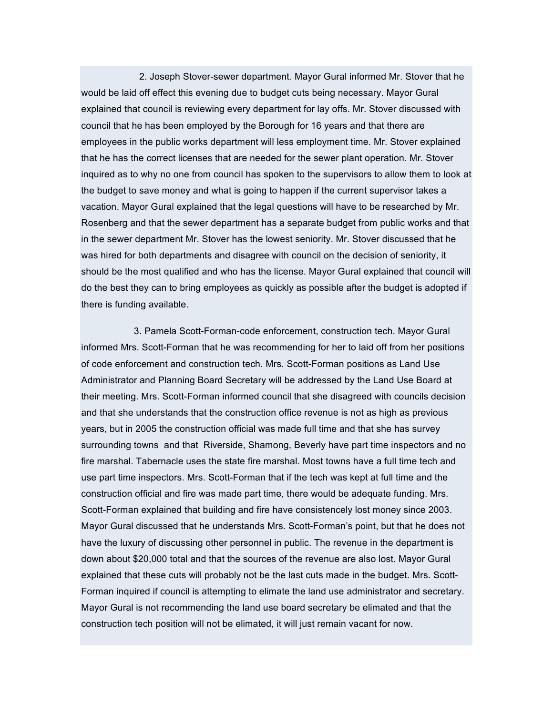2. Joseph Stover-sewer department. Mayor Gural informed Mr. Stover that he would be laid off effect this evening due to budget cuts being necessary. Mayor Gural explained that council is reviewing every department for lay offs. Mr. Stover discussed with council that he has been employed by the Borough for 16 years and that there are employees in the public works department will less employment time. Mr. Stover explained that he has the correct licenses that are needed for the sewer plant operation. Mr. Stover inquired as to why no one from council has spoken to the supervisors to allow them to look at the budget to save money and what is going to happen if the current supervisor takes a vacation. Mayor Gural explained that the legal questions will have to be researched by Mr. Rosenberg and that the sewer department has a separate budget from public works and that in the sewer department Mr. Stover has the lowest seniority. Mr. Stover discussed that he was hired for both departments and disagree with council on the decision of seniority, it should be the most qualified and who has the license. Mayor Gural explained that council will do the best they can to bring employees as quickly as possible after the budget is adopted if there is funding available.

3. Pamela Scott-Forman-code enforcement, construction tech. Mayor Gural informed Mrs. Scott-Forman that he was recommending for her to laid off from her positions of code enforcement and construction tech. Mrs. Scott-Forman positions as Land Use Administrator and Planning Board Secretary will be addressed by the Land Use Board at their meeting. Mrs. Scott-Forman informed council that she disagreed with councils decision and that she understands that the construction office revenue is not as high as previous years, but in 2005 the construction official was made full time and that she has survey surrounding towns and that Riverside, Shamong, Beverly have part time inspectors and no fire marshal. Tabernacle uses the state fire marshal. Most towns have a full time tech and use part time inspectors. Mrs. Scott-Forman that if the tech was kept at full time and the construction official and fire was made part time, there would be adequate funding. Mrs. Scott-Forman explained that building and fire have consistencely lost money since 2003. Mayor Gural discussed that he understands Mrs. Scott-Forman's point, but that he does not have the luxury of discussing other personnel in public. The revenue in the department is down about \$20,000 total and that the sources of the revenue are also lost. Mayor Gural explained that these cuts will probably not be the last cuts made in the budget. Mrs. Scott-Forman inquired if council is attempting to elimate the land use administrator and secretary. Mayor Gural is not recommending the land use board secretary be elimated and that the construction tech position will not be elimated, it will just remain vacant for now.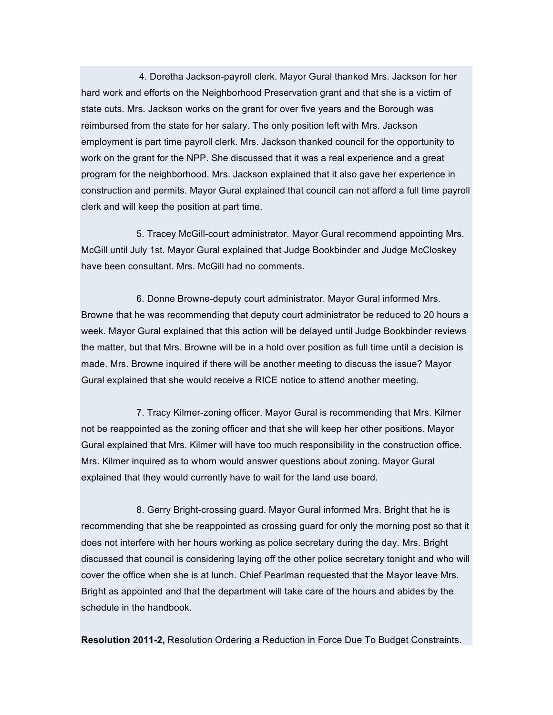4. Doretha Jackson-payroll clerk. Mayor Gural thanked Mrs. Jackson for her hard work and efforts on the Neighborhood Preservation grant and that she is a victim of state cuts. Mrs. Jackson works on the grant for over five years and the Borough was reimbursed from the state for her salary. The only position left with Mrs. Jackson employment is part time payroll clerk. Mrs. Jackson thanked council for the opportunity to work on the grant for the NPP. She discussed that it was a real experience and a great program for the neighborhood. Mrs. Jackson explained that it also gave her experience in construction and permits. Mayor Gural explained that council can not afford a full time payroll clerk and will keep the position at part time.

5. Tracey McGill-court administrator. Mayor Gural recommend appointing Mrs. McGill until July 1st. Mayor Gural explained that Judge Bookbinder and Judge McCloskey have been consultant. Mrs. McGill had no comments.

6. Donne Browne-deputy court administrator. Mayor Gural informed Mrs. Browne that he was recommending that deputy court administrator be reduced to 20 hours a week. Mayor Gural explained that this action will be delayed until Judge Bookbinder reviews the matter, but that Mrs. Browne will be in a hold over position as full time until a decision is made. Mrs. Browne inquired if there will be another meeting to discuss the issue? Mayor Gural explained that she would receive a RICE notice to attend another meeting.

7. Tracy Kilmer-zoning officer. Mayor Gural is recommending that Mrs. Kilmer not be reappointed as the zoning officer and that she will keep her other positions. Mayor Gural explained that Mrs. Kilmer will have too much responsibility in the construction office. Mrs. Kilmer inquired as to whom would answer questions about zoning. Mayor Gural explained that they would currently have to wait for the land use board.

8. Gerry Bright-crossing guard. Mayor Gural informed Mrs. Bright that he is recommending that she be reappointed as crossing guard for only the morning post so that it does not interfere with her hours working as police secretary during the day. Mrs. Bright discussed that council is considering laying off the other police secretary tonight and who will cover the office when she is at lunch. Chief Pearlman requested that the Mayor leave Mrs. Bright as appointed and that the department will take care of the hours and abides by the schedule in the handbook.

**Resolution 2011-2,** Resolution Ordering a Reduction in Force Due To Budget Constraints.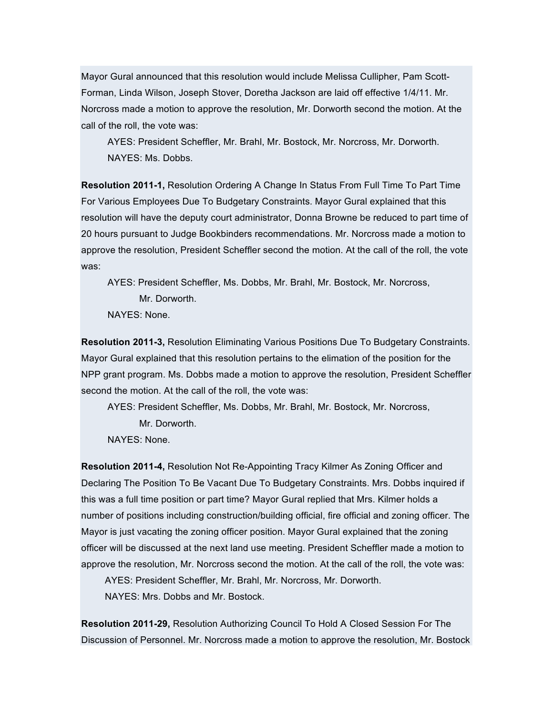Mayor Gural announced that this resolution would include Melissa Cullipher, Pam Scott-Forman, Linda Wilson, Joseph Stover, Doretha Jackson are laid off effective 1/4/11. Mr. Norcross made a motion to approve the resolution, Mr. Dorworth second the motion. At the call of the roll, the vote was:

AYES: President Scheffler, Mr. Brahl, Mr. Bostock, Mr. Norcross, Mr. Dorworth. NAYES: Ms. Dobbs.

**Resolution 2011-1,** Resolution Ordering A Change In Status From Full Time To Part Time For Various Employees Due To Budgetary Constraints. Mayor Gural explained that this resolution will have the deputy court administrator, Donna Browne be reduced to part time of 20 hours pursuant to Judge Bookbinders recommendations. Mr. Norcross made a motion to approve the resolution, President Scheffler second the motion. At the call of the roll, the vote was:

AYES: President Scheffler, Ms. Dobbs, Mr. Brahl, Mr. Bostock, Mr. Norcross, Mr. Dorworth.

NAYES: None.

**Resolution 2011-3,** Resolution Eliminating Various Positions Due To Budgetary Constraints. Mayor Gural explained that this resolution pertains to the elimation of the position for the NPP grant program. Ms. Dobbs made a motion to approve the resolution, President Scheffler second the motion. At the call of the roll, the vote was:

AYES: President Scheffler, Ms. Dobbs, Mr. Brahl, Mr. Bostock, Mr. Norcross, Mr. Dorworth.

NAYES: None.

**Resolution 2011-4,** Resolution Not Re-Appointing Tracy Kilmer As Zoning Officer and Declaring The Position To Be Vacant Due To Budgetary Constraints. Mrs. Dobbs inquired if this was a full time position or part time? Mayor Gural replied that Mrs. Kilmer holds a number of positions including construction/building official, fire official and zoning officer. The Mayor is just vacating the zoning officer position. Mayor Gural explained that the zoning officer will be discussed at the next land use meeting. President Scheffler made a motion to approve the resolution, Mr. Norcross second the motion. At the call of the roll, the vote was:

AYES: President Scheffler, Mr. Brahl, Mr. Norcross, Mr. Dorworth.

NAYES: Mrs. Dobbs and Mr. Bostock.

**Resolution 2011-29,** Resolution Authorizing Council To Hold A Closed Session For The Discussion of Personnel. Mr. Norcross made a motion to approve the resolution, Mr. Bostock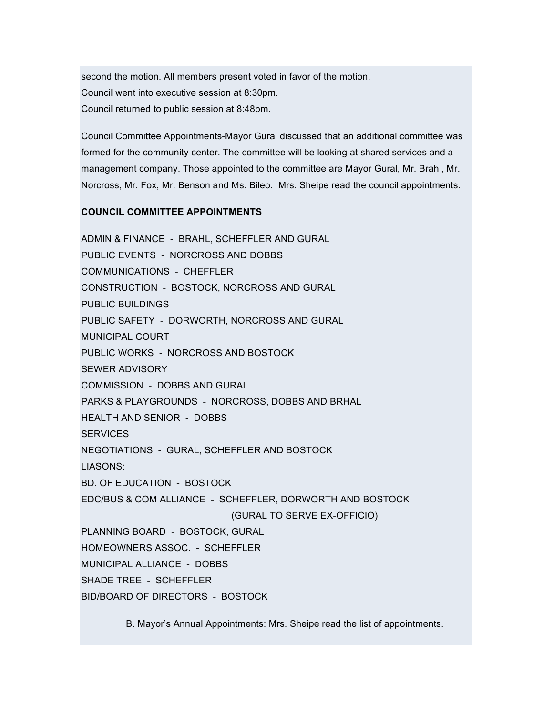second the motion. All members present voted in favor of the motion. Council went into executive session at 8:30pm. Council returned to public session at 8:48pm.

Council Committee Appointments-Mayor Gural discussed that an additional committee was formed for the community center. The committee will be looking at shared services and a management company. Those appointed to the committee are Mayor Gural, Mr. Brahl, Mr. Norcross, Mr. Fox, Mr. Benson and Ms. Bileo. Mrs. Sheipe read the council appointments.

### **COUNCIL COMMITTEE APPOINTMENTS**

ADMIN & FINANCE - BRAHL, SCHEFFLER AND GURAL PUBLIC EVENTS - NORCROSS AND DOBBS COMMUNICATIONS - CHEFFLER CONSTRUCTION - BOSTOCK, NORCROSS AND GURAL PUBLIC BUILDINGS PUBLIC SAFETY - DORWORTH, NORCROSS AND GURAL MUNICIPAL COURT PUBLIC WORKS - NORCROSS AND BOSTOCK SEWER ADVISORY COMMISSION - DOBBS AND GURAL PARKS & PLAYGROUNDS - NORCROSS, DOBBS AND BRHAL HEALTH AND SENIOR - DOBBS **SERVICES** NEGOTIATIONS - GURAL, SCHEFFLER AND BOSTOCK LIASONS: BD. OF EDUCATION - BOSTOCK EDC/BUS & COM ALLIANCE - SCHEFFLER, DORWORTH AND BOSTOCK (GURAL TO SERVE EX-OFFICIO) PLANNING BOARD - BOSTOCK, GURAL HOMEOWNERS ASSOC. - SCHEFFLER MUNICIPAL ALLIANCE - DOBBS SHADE TREE - SCHEFFLER BID/BOARD OF DIRECTORS - BOSTOCK

B. Mayor's Annual Appointments: Mrs. Sheipe read the list of appointments.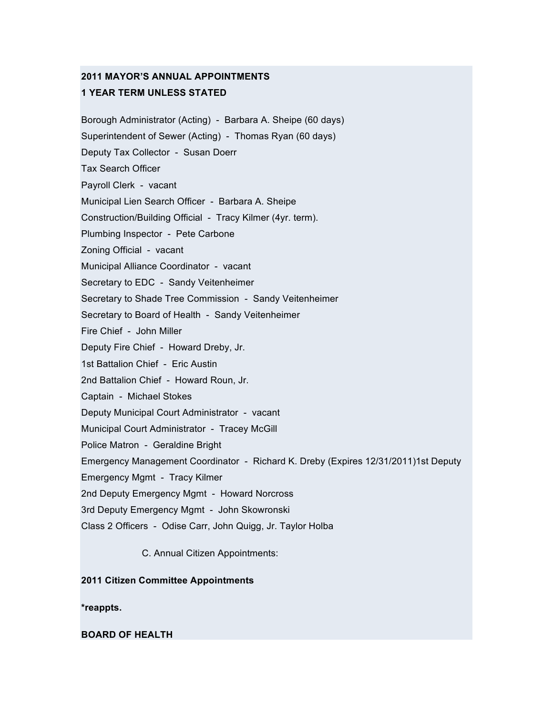# **2011 MAYOR'S ANNUAL APPOINTMENTS 1 YEAR TERM UNLESS STATED**

Borough Administrator (Acting) - Barbara A. Sheipe (60 days) Superintendent of Sewer (Acting) - Thomas Ryan (60 days) Deputy Tax Collector - Susan Doerr Tax Search Officer Payroll Clerk - vacant Municipal Lien Search Officer - Barbara A. Sheipe Construction/Building Official - Tracy Kilmer (4yr. term). Plumbing Inspector - Pete Carbone Zoning Official - vacant Municipal Alliance Coordinator - vacant Secretary to EDC - Sandy Veitenheimer Secretary to Shade Tree Commission - Sandy Veitenheimer Secretary to Board of Health - Sandy Veitenheimer Fire Chief - John Miller Deputy Fire Chief - Howard Dreby, Jr. 1st Battalion Chief - Eric Austin 2nd Battalion Chief - Howard Roun, Jr. Captain - Michael Stokes Deputy Municipal Court Administrator - vacant Municipal Court Administrator - Tracey McGill Police Matron - Geraldine Bright Emergency Management Coordinator - Richard K. Dreby (Expires 12/31/2011)1st Deputy Emergency Mgmt - Tracy Kilmer 2nd Deputy Emergency Mgmt - Howard Norcross 3rd Deputy Emergency Mgmt - John Skowronski Class 2 Officers - Odise Carr, John Quigg, Jr. Taylor Holba C. Annual Citizen Appointments:

**2011 Citizen Committee Appointments**

**\*reappts.**

**BOARD OF HEALTH**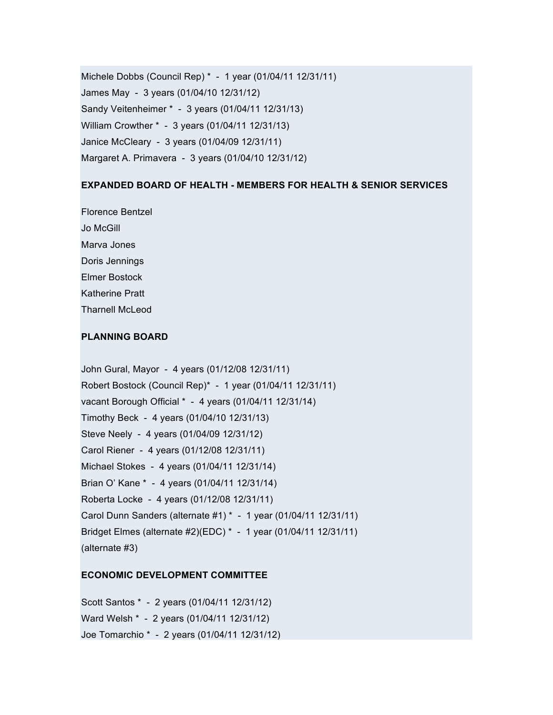Michele Dobbs (Council Rep) \* - 1 year (01/04/11 12/31/11) James May - 3 years (01/04/10 12/31/12) Sandy Veitenheimer \* - 3 years (01/04/11 12/31/13) William Crowther \* - 3 years (01/04/11 12/31/13) Janice McCleary - 3 years (01/04/09 12/31/11) Margaret A. Primavera - 3 years (01/04/10 12/31/12)

### **EXPANDED BOARD OF HEALTH - MEMBERS FOR HEALTH & SENIOR SERVICES**

Florence Bentzel Jo McGill Marva Jones Doris Jennings Elmer Bostock Katherine Pratt Tharnell McLeod

#### **PLANNING BOARD**

John Gural, Mayor - 4 years (01/12/08 12/31/11) Robert Bostock (Council Rep)\* - 1 year (01/04/11 12/31/11) vacant Borough Official \* - 4 years (01/04/11 12/31/14) Timothy Beck - 4 years (01/04/10 12/31/13) Steve Neely - 4 years (01/04/09 12/31/12) Carol Riener - 4 years (01/12/08 12/31/11) Michael Stokes - 4 years (01/04/11 12/31/14) Brian O' Kane \* - 4 years (01/04/11 12/31/14) Roberta Locke - 4 years (01/12/08 12/31/11) Carol Dunn Sanders (alternate #1) \* - 1 year (01/04/11 12/31/11) Bridget Elmes (alternate #2)(EDC) \* - 1 year (01/04/11 12/31/11) (alternate #3)

### **ECONOMIC DEVELOPMENT COMMITTEE**

Scott Santos \* - 2 years (01/04/11 12/31/12) Ward Welsh \* - 2 years (01/04/11 12/31/12) Joe Tomarchio \* - 2 years (01/04/11 12/31/12)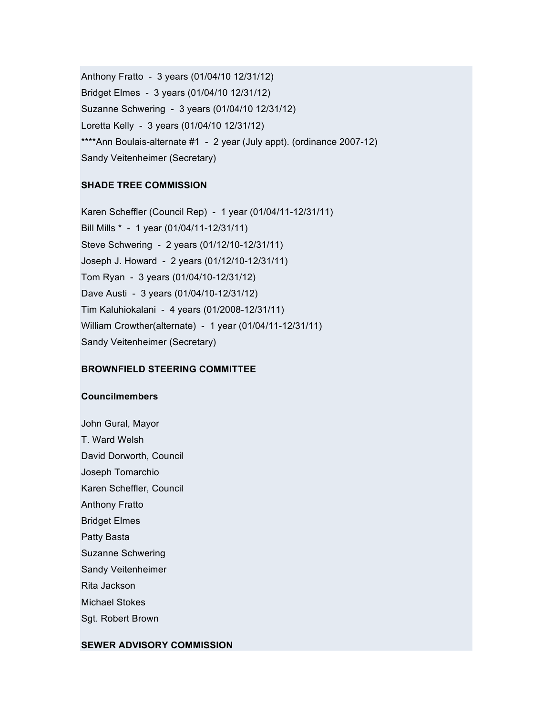Anthony Fratto - 3 years (01/04/10 12/31/12) Bridget Elmes - 3 years (01/04/10 12/31/12) Suzanne Schwering - 3 years (01/04/10 12/31/12) Loretta Kelly - 3 years (01/04/10 12/31/12) \*\*\*\*Ann Boulais-alternate #1 - 2 year (July appt). (ordinance 2007-12) Sandy Veitenheimer (Secretary)

### **SHADE TREE COMMISSION**

Karen Scheffler (Council Rep) - 1 year (01/04/11-12/31/11) Bill Mills \* - 1 year (01/04/11-12/31/11) Steve Schwering - 2 years (01/12/10-12/31/11) Joseph J. Howard - 2 years (01/12/10-12/31/11) Tom Ryan - 3 years (01/04/10-12/31/12) Dave Austi - 3 years (01/04/10-12/31/12) Tim Kaluhiokalani - 4 years (01/2008-12/31/11) William Crowther(alternate) - 1 year (01/04/11-12/31/11) Sandy Veitenheimer (Secretary)

# **BROWNFIELD STEERING COMMITTEE**

### **Councilmembers**

John Gural, Mayor T. Ward Welsh David Dorworth, Council Joseph Tomarchio Karen Scheffler, Council Anthony Fratto Bridget Elmes Patty Basta Suzanne Schwering Sandy Veitenheimer Rita Jackson Michael Stokes Sgt. Robert Brown

### **SEWER ADVISORY COMMISSION**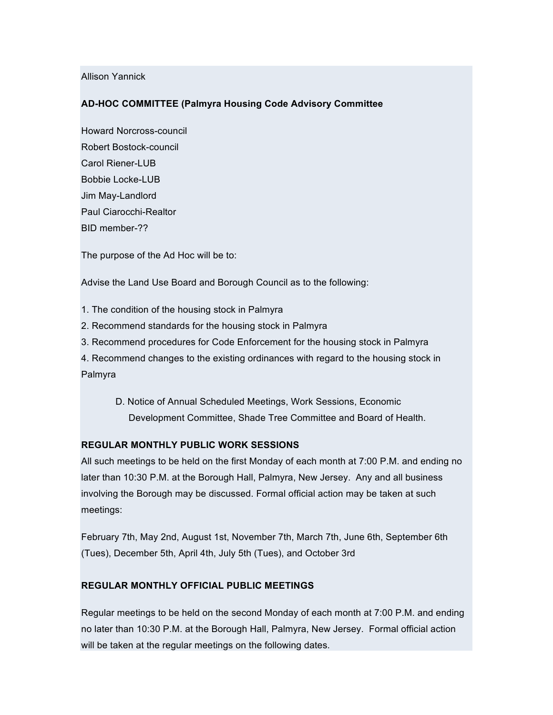Allison Yannick

### **AD-HOC COMMITTEE (Palmyra Housing Code Advisory Committee**

Howard Norcross-council Robert Bostock-council Carol Riener-LUB Bobbie Locke-LUB Jim May-Landlord Paul Ciarocchi-Realtor BID member-??

The purpose of the Ad Hoc will be to:

Advise the Land Use Board and Borough Council as to the following:

1. The condition of the housing stock in Palmyra

2. Recommend standards for the housing stock in Palmyra

3. Recommend procedures for Code Enforcement for the housing stock in Palmyra

4. Recommend changes to the existing ordinances with regard to the housing stock in Palmyra

D. Notice of Annual Scheduled Meetings, Work Sessions, Economic Development Committee, Shade Tree Committee and Board of Health.

### **REGULAR MONTHLY PUBLIC WORK SESSIONS**

All such meetings to be held on the first Monday of each month at 7:00 P.M. and ending no later than 10:30 P.M. at the Borough Hall, Palmyra, New Jersey. Any and all business involving the Borough may be discussed. Formal official action may be taken at such meetings:

February 7th, May 2nd, August 1st, November 7th, March 7th, June 6th, September 6th (Tues), December 5th, April 4th, July 5th (Tues), and October 3rd

# **REGULAR MONTHLY OFFICIAL PUBLIC MEETINGS**

Regular meetings to be held on the second Monday of each month at 7:00 P.M. and ending no later than 10:30 P.M. at the Borough Hall, Palmyra, New Jersey. Formal official action will be taken at the regular meetings on the following dates.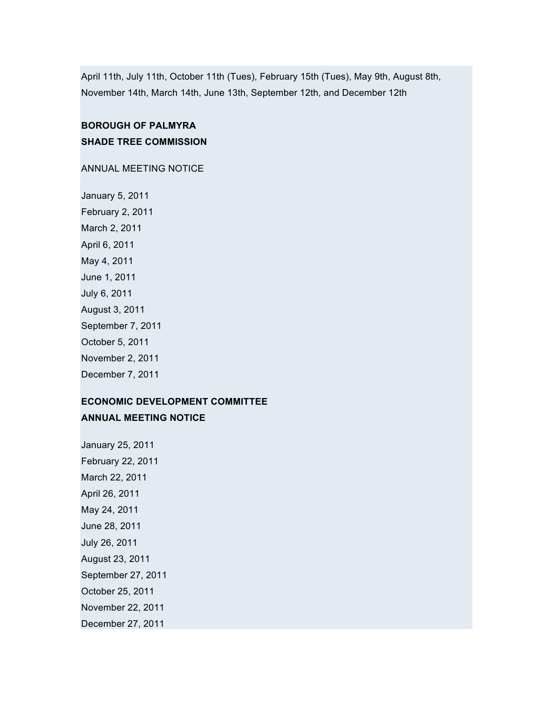April 11th, July 11th, October 11th (Tues), February 15th (Tues), May 9th, August 8th, November 14th, March 14th, June 13th, September 12th, and December 12th

# **BOROUGH OF PALMYRA SHADE TREE COMMISSION**

ANNUAL MEETING NOTICE

January 5, 2011 February 2, 2011 March 2, 2011 April 6, 2011 May 4, 2011 June 1, 2011 July 6, 2011 August 3, 2011 September 7, 2011 October 5, 2011 November 2, 2011 December 7, 2011

# **ECONOMIC DEVELOPMENT COMMITTEE ANNUAL MEETING NOTICE**

January 25, 2011 February 22, 2011 March 22, 2011 April 26, 2011 May 24, 2011 June 28, 2011 July 26, 2011 August 23, 2011 September 27, 2011 October 25, 2011 November 22, 2011 December 27, 2011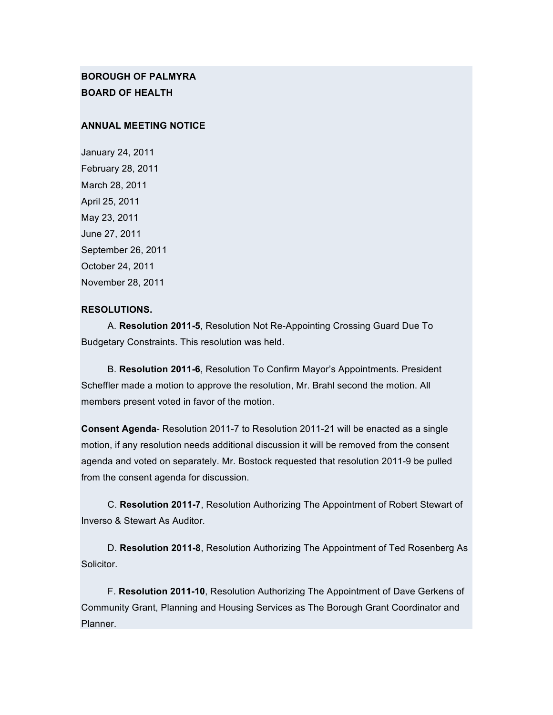# **BOROUGH OF PALMYRA BOARD OF HEALTH**

#### **ANNUAL MEETING NOTICE**

January 24, 2011 February 28, 2011 March 28, 2011 April 25, 2011 May 23, 2011 June 27, 2011 September 26, 2011 October 24, 2011 November 28, 2011

#### **RESOLUTIONS.**

A. **Resolution 2011-5**, Resolution Not Re-Appointing Crossing Guard Due To Budgetary Constraints. This resolution was held.

B. **Resolution 2011-6**, Resolution To Confirm Mayor's Appointments. President Scheffler made a motion to approve the resolution, Mr. Brahl second the motion. All members present voted in favor of the motion.

**Consent Agenda**- Resolution 2011-7 to Resolution 2011-21 will be enacted as a single motion, if any resolution needs additional discussion it will be removed from the consent agenda and voted on separately. Mr. Bostock requested that resolution 2011-9 be pulled from the consent agenda for discussion.

C. **Resolution 2011-7**, Resolution Authorizing The Appointment of Robert Stewart of Inverso & Stewart As Auditor.

D. **Resolution 2011-8**, Resolution Authorizing The Appointment of Ted Rosenberg As Solicitor.

F. **Resolution 2011-10**, Resolution Authorizing The Appointment of Dave Gerkens of Community Grant, Planning and Housing Services as The Borough Grant Coordinator and Planner.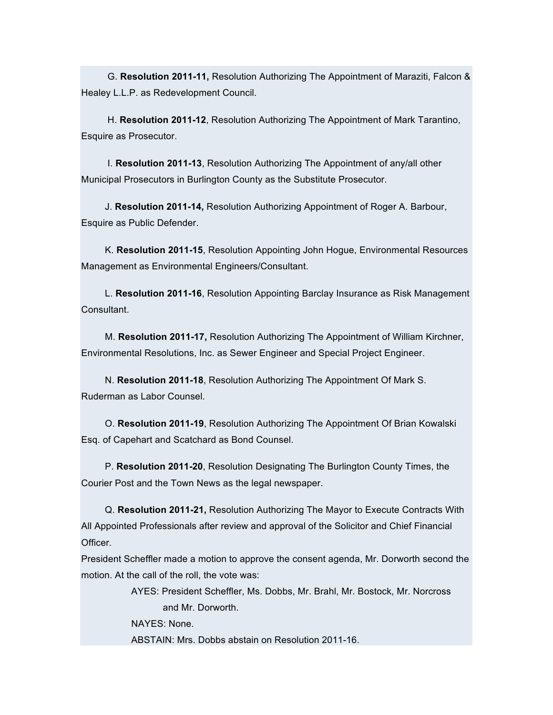G. **Resolution 2011-11,** Resolution Authorizing The Appointment of Maraziti, Falcon & Healey L.L.P. as Redevelopment Council.

H. **Resolution 2011-12**, Resolution Authorizing The Appointment of Mark Tarantino, Esquire as Prosecutor.

I. **Resolution 2011-13**, Resolution Authorizing The Appointment of any/all other Municipal Prosecutors in Burlington County as the Substitute Prosecutor.

J. **Resolution 2011-14,** Resolution Authorizing Appointment of Roger A. Barbour, Esquire as Public Defender.

K. **Resolution 2011-15**, Resolution Appointing John Hogue, Environmental Resources Management as Environmental Engineers/Consultant.

L. **Resolution 2011-16**, Resolution Appointing Barclay Insurance as Risk Management Consultant.

M. **Resolution 2011-17,** Resolution Authorizing The Appointment of William Kirchner, Environmental Resolutions, Inc. as Sewer Engineer and Special Project Engineer.

N. **Resolution 2011-18**, Resolution Authorizing The Appointment Of Mark S. Ruderman as Labor Counsel.

O. **Resolution 2011-19**, Resolution Authorizing The Appointment Of Brian Kowalski Esq. of Capehart and Scatchard as Bond Counsel.

P. **Resolution 2011-20**, Resolution Designating The Burlington County Times, the Courier Post and the Town News as the legal newspaper.

Q. **Resolution 2011-21,** Resolution Authorizing The Mayor to Execute Contracts With All Appointed Professionals after review and approval of the Solicitor and Chief Financial Officer.

President Scheffler made a motion to approve the consent agenda, Mr. Dorworth second the motion. At the call of the roll, the vote was:

> AYES: President Scheffler, Ms. Dobbs, Mr. Brahl, Mr. Bostock, Mr. Norcross and Mr. Dorworth.

NAYES: None.

ABSTAIN: Mrs. Dobbs abstain on Resolution 2011-16.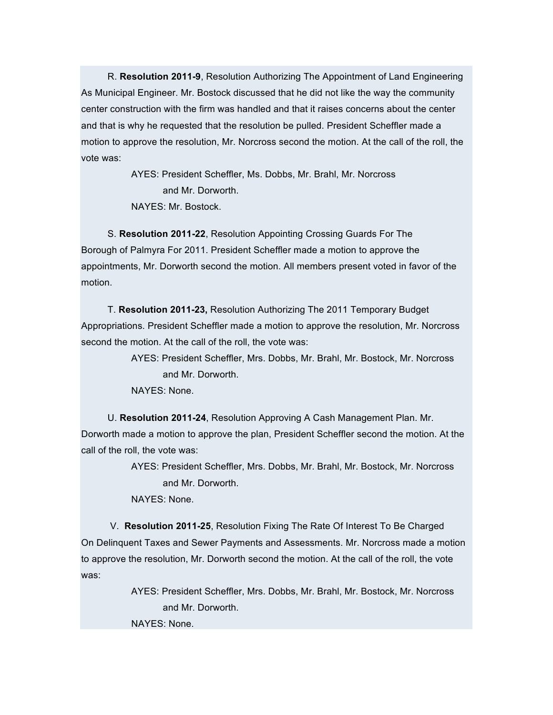R. **Resolution 2011-9**, Resolution Authorizing The Appointment of Land Engineering As Municipal Engineer. Mr. Bostock discussed that he did not like the way the community center construction with the firm was handled and that it raises concerns about the center and that is why he requested that the resolution be pulled. President Scheffler made a motion to approve the resolution, Mr. Norcross second the motion. At the call of the roll, the vote was:

> AYES: President Scheffler, Ms. Dobbs, Mr. Brahl, Mr. Norcross and Mr. Dorworth. NAYES: Mr. Bostock.

S. **Resolution 2011-22**, Resolution Appointing Crossing Guards For The Borough of Palmyra For 2011. President Scheffler made a motion to approve the appointments, Mr. Dorworth second the motion. All members present voted in favor of the motion.

T. **Resolution 2011-23,** Resolution Authorizing The 2011 Temporary Budget Appropriations. President Scheffler made a motion to approve the resolution, Mr. Norcross second the motion. At the call of the roll, the vote was:

> AYES: President Scheffler, Mrs. Dobbs, Mr. Brahl, Mr. Bostock, Mr. Norcross and Mr. Dorworth.

NAYES: None.

U. **Resolution 2011-24**, Resolution Approving A Cash Management Plan. Mr. Dorworth made a motion to approve the plan, President Scheffler second the motion. At the call of the roll, the vote was:

> AYES: President Scheffler, Mrs. Dobbs, Mr. Brahl, Mr. Bostock, Mr. Norcross and Mr. Dorworth.

NAYES: None.

V. **Resolution 2011-25**, Resolution Fixing The Rate Of Interest To Be Charged On Delinquent Taxes and Sewer Payments and Assessments. Mr. Norcross made a motion to approve the resolution, Mr. Dorworth second the motion. At the call of the roll, the vote was:

> AYES: President Scheffler, Mrs. Dobbs, Mr. Brahl, Mr. Bostock, Mr. Norcross and Mr. Dorworth.

NAYES: None.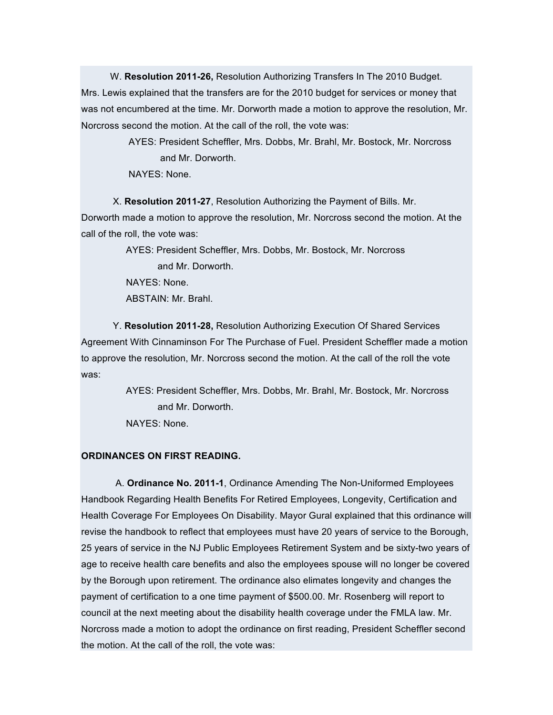W. **Resolution 2011-26,** Resolution Authorizing Transfers In The 2010 Budget. Mrs. Lewis explained that the transfers are for the 2010 budget for services or money that was not encumbered at the time. Mr. Dorworth made a motion to approve the resolution, Mr. Norcross second the motion. At the call of the roll, the vote was:

> AYES: President Scheffler, Mrs. Dobbs, Mr. Brahl, Mr. Bostock, Mr. Norcross and Mr. Dorworth.

NAYES: None.

X. **Resolution 2011-27**, Resolution Authorizing the Payment of Bills. Mr. Dorworth made a motion to approve the resolution, Mr. Norcross second the motion. At the call of the roll, the vote was:

AYES: President Scheffler, Mrs. Dobbs, Mr. Bostock, Mr. Norcross

and Mr. Dorworth.

NAYES: None.

ABSTAIN: Mr. Brahl.

Y. **Resolution 2011-28,** Resolution Authorizing Execution Of Shared Services Agreement With Cinnaminson For The Purchase of Fuel. President Scheffler made a motion to approve the resolution, Mr. Norcross second the motion. At the call of the roll the vote was:

> AYES: President Scheffler, Mrs. Dobbs, Mr. Brahl, Mr. Bostock, Mr. Norcross and Mr. Dorworth.

NAYES: None.

# **ORDINANCES ON FIRST READING.**

A. **Ordinance No. 2011-1**, Ordinance Amending The Non-Uniformed Employees Handbook Regarding Health Benefits For Retired Employees, Longevity, Certification and Health Coverage For Employees On Disability. Mayor Gural explained that this ordinance will revise the handbook to reflect that employees must have 20 years of service to the Borough, 25 years of service in the NJ Public Employees Retirement System and be sixty-two years of age to receive health care benefits and also the employees spouse will no longer be covered by the Borough upon retirement. The ordinance also elimates longevity and changes the payment of certification to a one time payment of \$500.00. Mr. Rosenberg will report to council at the next meeting about the disability health coverage under the FMLA law. Mr. Norcross made a motion to adopt the ordinance on first reading, President Scheffler second the motion. At the call of the roll, the vote was: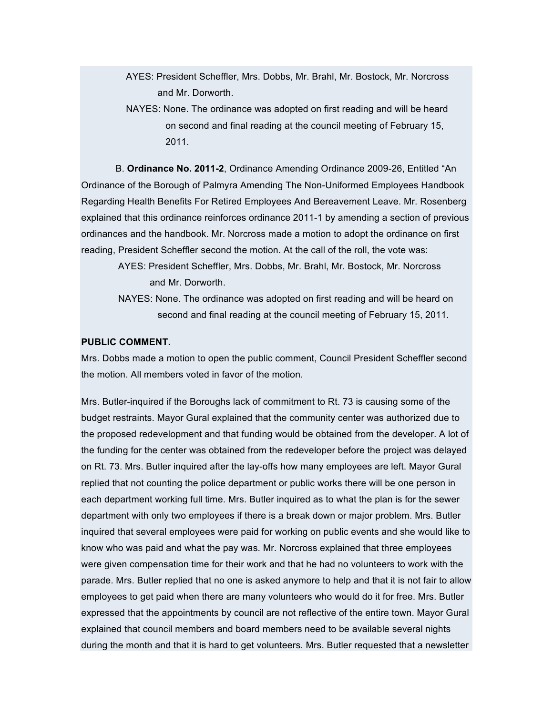- AYES: President Scheffler, Mrs. Dobbs, Mr. Brahl, Mr. Bostock, Mr. Norcross and Mr. Dorworth.
- NAYES: None. The ordinance was adopted on first reading and will be heard on second and final reading at the council meeting of February 15, 2011.

B. **Ordinance No. 2011-2**, Ordinance Amending Ordinance 2009-26, Entitled "An Ordinance of the Borough of Palmyra Amending The Non-Uniformed Employees Handbook Regarding Health Benefits For Retired Employees And Bereavement Leave. Mr. Rosenberg explained that this ordinance reinforces ordinance 2011-1 by amending a section of previous ordinances and the handbook. Mr. Norcross made a motion to adopt the ordinance on first reading, President Scheffler second the motion. At the call of the roll, the vote was:

AYES: President Scheffler, Mrs. Dobbs, Mr. Brahl, Mr. Bostock, Mr. Norcross and Mr. Dorworth.

NAYES: None. The ordinance was adopted on first reading and will be heard on second and final reading at the council meeting of February 15, 2011.

### **PUBLIC COMMENT.**

Mrs. Dobbs made a motion to open the public comment, Council President Scheffler second the motion. All members voted in favor of the motion.

Mrs. Butler-inquired if the Boroughs lack of commitment to Rt. 73 is causing some of the budget restraints. Mayor Gural explained that the community center was authorized due to the proposed redevelopment and that funding would be obtained from the developer. A lot of the funding for the center was obtained from the redeveloper before the project was delayed on Rt. 73. Mrs. Butler inquired after the lay-offs how many employees are left. Mayor Gural replied that not counting the police department or public works there will be one person in each department working full time. Mrs. Butler inquired as to what the plan is for the sewer department with only two employees if there is a break down or major problem. Mrs. Butler inquired that several employees were paid for working on public events and she would like to know who was paid and what the pay was. Mr. Norcross explained that three employees were given compensation time for their work and that he had no volunteers to work with the parade. Mrs. Butler replied that no one is asked anymore to help and that it is not fair to allow employees to get paid when there are many volunteers who would do it for free. Mrs. Butler expressed that the appointments by council are not reflective of the entire town. Mayor Gural explained that council members and board members need to be available several nights during the month and that it is hard to get volunteers. Mrs. Butler requested that a newsletter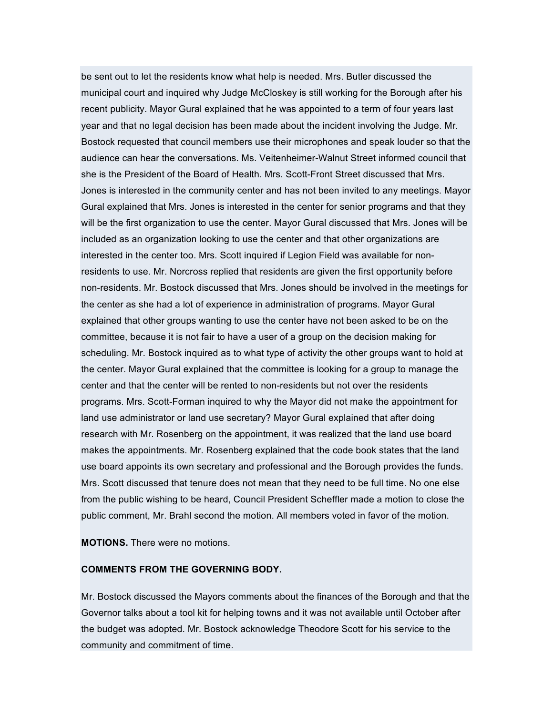be sent out to let the residents know what help is needed. Mrs. Butler discussed the municipal court and inquired why Judge McCloskey is still working for the Borough after his recent publicity. Mayor Gural explained that he was appointed to a term of four years last year and that no legal decision has been made about the incident involving the Judge. Mr. Bostock requested that council members use their microphones and speak louder so that the audience can hear the conversations. Ms. Veitenheimer-Walnut Street informed council that she is the President of the Board of Health. Mrs. Scott-Front Street discussed that Mrs. Jones is interested in the community center and has not been invited to any meetings. Mayor Gural explained that Mrs. Jones is interested in the center for senior programs and that they will be the first organization to use the center. Mayor Gural discussed that Mrs. Jones will be included as an organization looking to use the center and that other organizations are interested in the center too. Mrs. Scott inquired if Legion Field was available for nonresidents to use. Mr. Norcross replied that residents are given the first opportunity before non-residents. Mr. Bostock discussed that Mrs. Jones should be involved in the meetings for the center as she had a lot of experience in administration of programs. Mayor Gural explained that other groups wanting to use the center have not been asked to be on the committee, because it is not fair to have a user of a group on the decision making for scheduling. Mr. Bostock inquired as to what type of activity the other groups want to hold at the center. Mayor Gural explained that the committee is looking for a group to manage the center and that the center will be rented to non-residents but not over the residents programs. Mrs. Scott-Forman inquired to why the Mayor did not make the appointment for land use administrator or land use secretary? Mayor Gural explained that after doing research with Mr. Rosenberg on the appointment, it was realized that the land use board makes the appointments. Mr. Rosenberg explained that the code book states that the land use board appoints its own secretary and professional and the Borough provides the funds. Mrs. Scott discussed that tenure does not mean that they need to be full time. No one else from the public wishing to be heard, Council President Scheffler made a motion to close the public comment, Mr. Brahl second the motion. All members voted in favor of the motion.

**MOTIONS.** There were no motions.

#### **COMMENTS FROM THE GOVERNING BODY.**

Mr. Bostock discussed the Mayors comments about the finances of the Borough and that the Governor talks about a tool kit for helping towns and it was not available until October after the budget was adopted. Mr. Bostock acknowledge Theodore Scott for his service to the community and commitment of time.